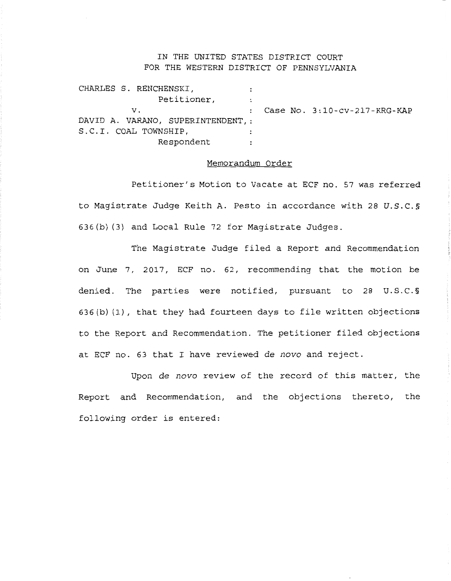## IN THE UNITED STATES DISTRICT COURT FOR THE WESTERN DISTRICT OF PENNSYLVANIA

| CHARLES S. RENCHENSKI,            |              |                              |
|-----------------------------------|--------------|------------------------------|
| Petitioner,                       |              |                              |
| v.                                | $\mathbf{r}$ | Case No. 3:10-cv-217-KRG-KAP |
| DAVID A. VARANO, SUPERINTENDENT.: |              |                              |
| S.C.I. COAL TOWNSHIP,             |              |                              |
| Respondent                        |              |                              |

## Memorandum Order

Petitioner's Motion to Vacate at ECF no. 57 was referred to Magistrate Judge Keith A. Pesto in accordance with 28 U.S.C.§ 636(b) (3) and Local Rule 72 for Magistrate Judges.

The Magistrate Judge filed a Report and Recommendation on June 7, 2017, ECF no. 62, recommending that the motion be denied. The parties were notified, pursuant to 28 U.S.C.§ 636(b) (1), that they had fourteen days to file written objections to the Report and Recommendation. The petitioner filed objections at ECF no. 63 that I have reviewed *de nova* and reject.

Upon *de nova* review of the record of this matter, the Report and Recommendation, and the objections thereto, the following order is entered: